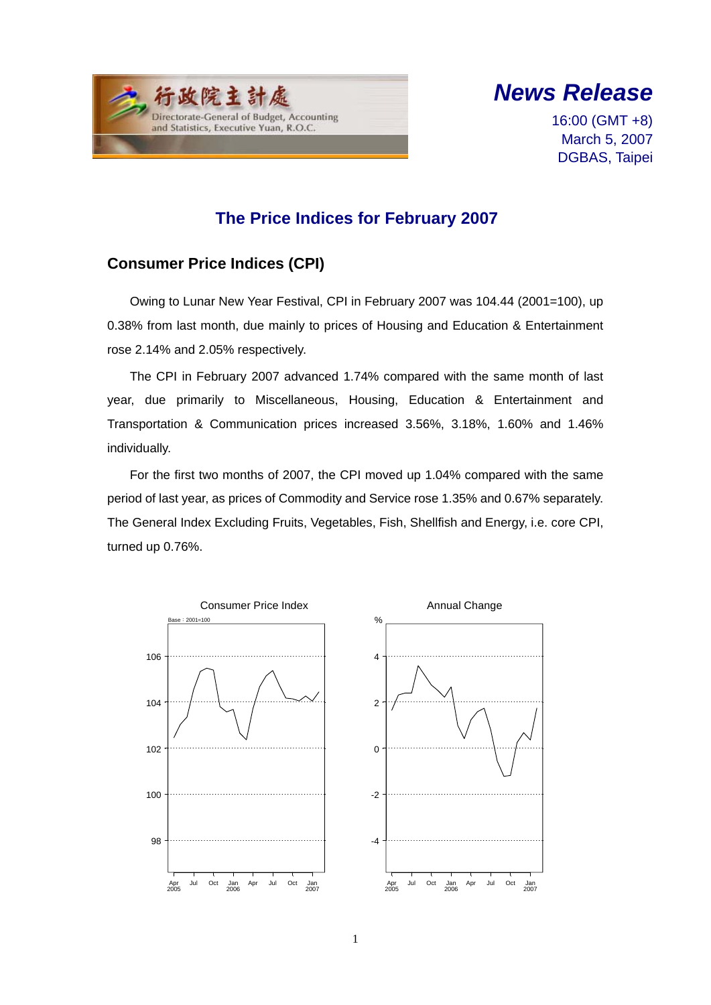



16:00 (GMT +8) March 5, 2007 DGBAS, Taipei

# **The Price Indices for February 2007**

## **Consumer Price Indices (CPI)**

Owing to Lunar New Year Festival, CPI in February 2007 was 104.44 (2001=100), up 0.38% from last month, due mainly to prices of Housing and Education & Entertainment rose 2.14% and 2.05% respectively.

The CPI in February 2007 advanced 1.74% compared with the same month of last year, due primarily to Miscellaneous, Housing, Education & Entertainment and Transportation & Communication prices increased 3.56%, 3.18%, 1.60% and 1.46% individually.

For the first two months of 2007, the CPI moved up 1.04% compared with the same period of last year, as prices of Commodity and Service rose 1.35% and 0.67% separately. The General Index Excluding Fruits, Vegetables, Fish, Shellfish and Energy, i.e. core CPI, turned up 0.76%.

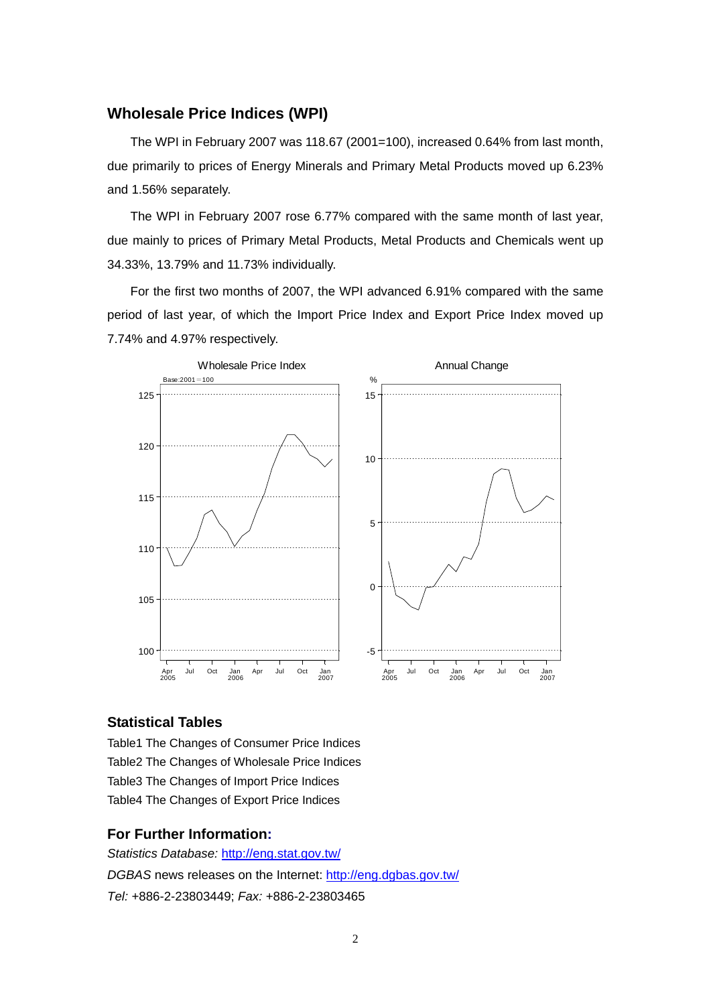### **Wholesale Price Indices (WPI)**

The WPI in February 2007 was 118.67 (2001=100), increased 0.64% from last month, due primarily to prices of Energy Minerals and Primary Metal Products moved up 6.23% and 1.56% separately.

The WPI in February 2007 rose 6.77% compared with the same month of last year, due mainly to prices of Primary Metal Products, Metal Products and Chemicals went up 34.33%, 13.79% and 11.73% individually.

For the first two months of 2007, the WPI advanced 6.91% compared with the same period of last year, of which the Import Price Index and Export Price Index moved up 7.74% and 4.97% respectively.



#### **Statistical Tables**

Table1 The Changes of Consumer Price Indices Table2 The Changes of Wholesale Price Indices Table3 The Changes of Import Price Indices Table4 The Changes of Export Price Indices

#### **For Further Information:**

*Statistics Database:* http://eng.stat.gov.tw/ *DGBAS* news releases on the Internet: http://eng.dgbas.gov.tw/ *Tel:* +886-2-23803449; *Fax:* +886-2-23803465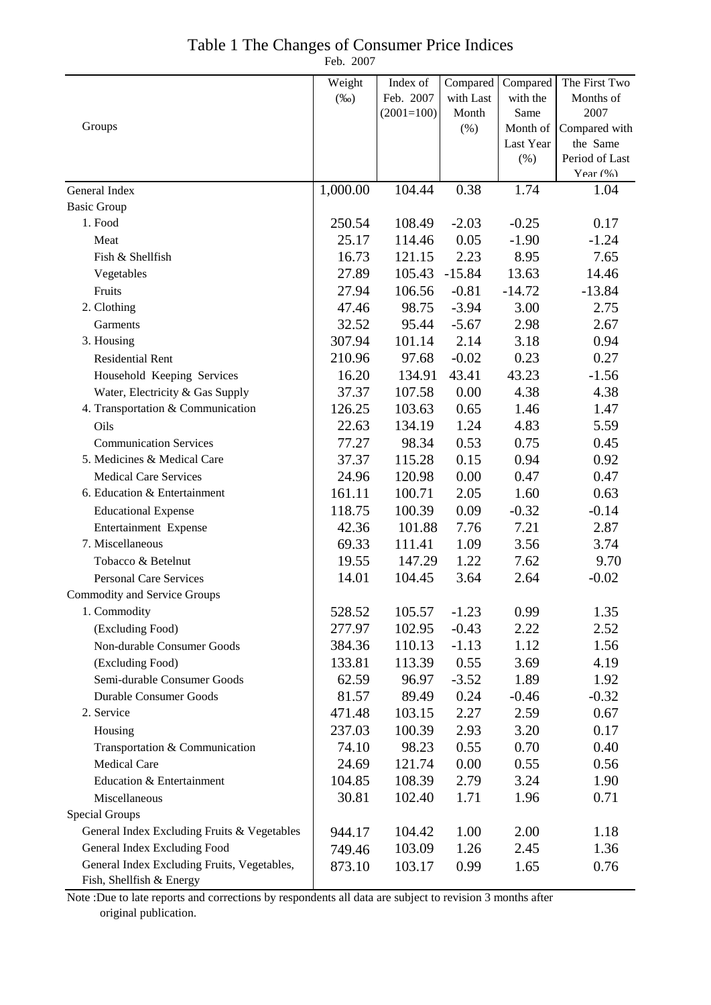|  | Table 1 The Changes of Consumer Price Indices |
|--|-----------------------------------------------|
|--|-----------------------------------------------|

Feb. 2007

|                                             | Weight   | Index of     | Compared  | Compared  | The First Two        |
|---------------------------------------------|----------|--------------|-----------|-----------|----------------------|
|                                             | $(\%0)$  | Feb. 2007    | with Last | with the  | Months of            |
|                                             |          | $(2001=100)$ | Month     | Same      | 2007                 |
| Groups                                      |          |              | (% )      | Month of  | Compared with        |
|                                             |          |              |           | Last Year | the Same             |
|                                             |          |              |           | (% )      | Period of Last       |
| General Index                               | 1,000.00 | 104.44       | 0.38      | 1.74      | Year $(\% )$<br>1.04 |
| <b>Basic Group</b>                          |          |              |           |           |                      |
| 1. Food                                     | 250.54   | 108.49       | $-2.03$   | $-0.25$   | 0.17                 |
| Meat                                        | 25.17    | 114.46       | 0.05      | $-1.90$   | $-1.24$              |
| Fish & Shellfish                            | 16.73    | 121.15       | 2.23      | 8.95      | 7.65                 |
| Vegetables                                  | 27.89    | 105.43       | $-15.84$  | 13.63     | 14.46                |
| Fruits                                      | 27.94    | 106.56       | $-0.81$   | $-14.72$  | $-13.84$             |
| 2. Clothing                                 | 47.46    | 98.75        | $-3.94$   | 3.00      | 2.75                 |
| Garments                                    | 32.52    | 95.44        | $-5.67$   | 2.98      | 2.67                 |
| 3. Housing                                  | 307.94   | 101.14       | 2.14      | 3.18      | 0.94                 |
| <b>Residential Rent</b>                     | 210.96   | 97.68        | $-0.02$   | 0.23      | 0.27                 |
| Household Keeping Services                  | 16.20    | 134.91       | 43.41     | 43.23     | $-1.56$              |
| Water, Electricity & Gas Supply             | 37.37    | 107.58       | 0.00      | 4.38      | 4.38                 |
| 4. Transportation & Communication           | 126.25   | 103.63       | 0.65      | 1.46      | 1.47                 |
| Oils                                        | 22.63    | 134.19       | 1.24      | 4.83      | 5.59                 |
| <b>Communication Services</b>               | 77.27    | 98.34        | 0.53      | 0.75      | 0.45                 |
| 5. Medicines & Medical Care                 | 37.37    | 115.28       | 0.15      | 0.94      | 0.92                 |
| <b>Medical Care Services</b>                | 24.96    | 120.98       | 0.00      | 0.47      | 0.47                 |
| 6. Education & Entertainment                | 161.11   | 100.71       | 2.05      | 1.60      | 0.63                 |
| <b>Educational Expense</b>                  | 118.75   | 100.39       | 0.09      | $-0.32$   | $-0.14$              |
| Entertainment Expense                       | 42.36    | 101.88       | 7.76      | 7.21      | 2.87                 |
| 7. Miscellaneous                            | 69.33    | 111.41       | 1.09      | 3.56      | 3.74                 |
| Tobacco & Betelnut                          | 19.55    | 147.29       | 1.22      | 7.62      | 9.70                 |
| Personal Care Services                      | 14.01    | 104.45       | 3.64      | 2.64      | $-0.02$              |
| <b>Commodity and Service Groups</b>         |          |              |           |           |                      |
| 1. Commodity                                | 528.52   | 105.57       | $-1.23$   | 0.99      | 1.35                 |
| (Excluding Food)                            | 277.97   | 102.95       | $-0.43$   | 2.22      | 2.52                 |
| Non-durable Consumer Goods                  | 384.36   | 110.13       | $-1.13$   | 1.12      | 1.56                 |
| (Excluding Food)                            | 133.81   | 113.39       | 0.55      | 3.69      | 4.19                 |
| Semi-durable Consumer Goods                 | 62.59    | 96.97        | $-3.52$   | 1.89      | 1.92                 |
| <b>Durable Consumer Goods</b>               | 81.57    | 89.49        | 0.24      | $-0.46$   | $-0.32$              |
| 2. Service                                  | 471.48   | 103.15       | 2.27      | 2.59      | 0.67                 |
| Housing                                     | 237.03   | 100.39       | 2.93      | 3.20      | 0.17                 |
| Transportation & Communication              | 74.10    | 98.23        | 0.55      | 0.70      | 0.40                 |
| <b>Medical Care</b>                         | 24.69    | 121.74       | 0.00      | 0.55      | 0.56                 |
| Education & Entertainment                   | 104.85   | 108.39       | 2.79      | 3.24      | 1.90                 |
| Miscellaneous                               | 30.81    | 102.40       | 1.71      | 1.96      | 0.71                 |
| <b>Special Groups</b>                       |          |              |           |           |                      |
| General Index Excluding Fruits & Vegetables | 944.17   | 104.42       | 1.00      | 2.00      | 1.18                 |
| General Index Excluding Food                | 749.46   | 103.09       | 1.26      | 2.45      | 1.36                 |
| General Index Excluding Fruits, Vegetables, | 873.10   | 103.17       | 0.99      | 1.65      | 0.76                 |
| Fish, Shellfish & Energy                    |          |              |           |           |                      |

Note :Due to late reports and corrections by respondents all data are subject to revision 3 months after original publication.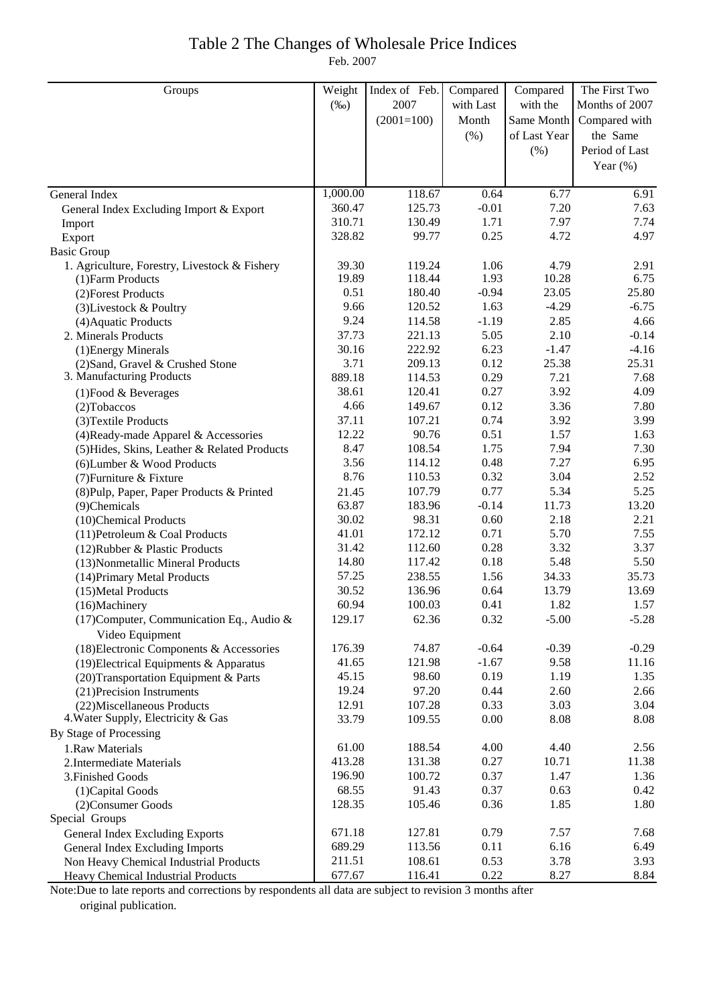### Table 2 The Changes of Wholesale Price Indices Feb. 2007

| Groups                                                       | Weight   | Index of Feb. | Compared  | Compared     | The First Two  |
|--------------------------------------------------------------|----------|---------------|-----------|--------------|----------------|
|                                                              | $(\%0)$  | 2007          | with Last | with the     | Months of 2007 |
|                                                              |          | $(2001=100)$  | Month     | Same Month   | Compared with  |
|                                                              |          |               | (% )      | of Last Year | the Same       |
|                                                              |          |               |           | $(\% )$      | Period of Last |
|                                                              |          |               |           |              | Year $(\%)$    |
|                                                              |          |               |           |              |                |
| General Index                                                | 1,000.00 | 118.67        | 0.64      | 6.77         | 6.91           |
| General Index Excluding Import & Export                      | 360.47   | 125.73        | $-0.01$   | 7.20         | 7.63           |
| Import                                                       | 310.71   | 130.49        | 1.71      | 7.97         | 7.74           |
| Export                                                       | 328.82   | 99.77         | 0.25      | 4.72         | 4.97           |
| <b>Basic Group</b>                                           |          |               |           |              |                |
| 1. Agriculture, Forestry, Livestock & Fishery                | 39.30    | 119.24        | 1.06      | 4.79         | 2.91           |
| (1) Farm Products                                            | 19.89    | 118.44        | 1.93      | 10.28        | 6.75           |
| (2) Forest Products                                          | 0.51     | 180.40        | $-0.94$   | 23.05        | 25.80          |
| (3) Livestock & Poultry                                      | 9.66     | 120.52        | 1.63      | $-4.29$      | $-6.75$        |
| (4) Aquatic Products                                         | 9.24     | 114.58        | $-1.19$   | 2.85         | 4.66           |
| 2. Minerals Products                                         | 37.73    | 221.13        | 5.05      | 2.10         | $-0.14$        |
| (1) Energy Minerals                                          | 30.16    | 222.92        | 6.23      | $-1.47$      | $-4.16$        |
| (2) Sand, Gravel & Crushed Stone                             | 3.71     | 209.13        | 0.12      | 25.38        | 25.31          |
| 3. Manufacturing Products                                    | 889.18   | 114.53        | 0.29      | 7.21         | 7.68           |
| (1) Food & Beverages                                         | 38.61    | 120.41        | 0.27      | 3.92         | 4.09           |
| $(2)$ Tobaccos                                               | 4.66     | 149.67        | 0.12      | 3.36         | 7.80           |
| (3) Textile Products                                         | 37.11    | 107.21        | 0.74      | 3.92         | 3.99           |
| (4) Ready-made Apparel & Accessories                         | 12.22    | 90.76         | 0.51      | 1.57         | 1.63           |
| (5) Hides, Skins, Leather & Related Products                 | 8.47     | 108.54        | 1.75      | 7.94         | 7.30           |
| (6) Lumber & Wood Products                                   | 3.56     | 114.12        | 0.48      | 7.27         | 6.95           |
| (7) Furniture & Fixture                                      | 8.76     | 110.53        | 0.32      | 3.04         | 2.52           |
| (8) Pulp, Paper, Paper Products & Printed                    | 21.45    | 107.79        | 0.77      | 5.34         | 5.25           |
| (9)Chemicals                                                 | 63.87    | 183.96        | $-0.14$   | 11.73        | 13.20          |
| (10)Chemical Products                                        | 30.02    | 98.31         | 0.60      | 2.18         | 2.21           |
| (11) Petroleum & Coal Products                               | 41.01    | 172.12        | 0.71      | 5.70         | 7.55           |
| (12) Rubber & Plastic Products                               | 31.42    | 112.60        | 0.28      | 3.32         | 3.37           |
| (13) Nonmetallic Mineral Products                            | 14.80    | 117.42        | 0.18      | 5.48         | 5.50           |
| (14) Primary Metal Products                                  | 57.25    | 238.55        | 1.56      | 34.33        | 35.73          |
| (15) Metal Products                                          | 30.52    | 136.96        | 0.64      | 13.79        | 13.69          |
| (16)Machinery                                                | 60.94    | 100.03        | 0.41      | 1.82         | 1.57           |
| (17) Computer, Communication Eq., Audio &<br>Video Equipment | 129.17   | 62.36         | 0.32      | $-5.00$      | $-5.28$        |
| (18) Electronic Components & Accessories                     | 176.39   | 74.87         | $-0.64$   | $-0.39$      | $-0.29$        |
| (19) Electrical Equipments & Apparatus                       | 41.65    | 121.98        | $-1.67$   | 9.58         | 11.16          |
| (20) Transportation Equipment & Parts                        | 45.15    | 98.60         | 0.19      | 1.19         | 1.35           |
| (21) Precision Instruments                                   | 19.24    | 97.20         | 0.44      | 2.60         | 2.66           |
| (22) Miscellaneous Products                                  | 12.91    | 107.28        | 0.33      | 3.03         | 3.04           |
| 4. Water Supply, Electricity & Gas                           | 33.79    | 109.55        | 0.00      | 8.08         | 8.08           |
| By Stage of Processing                                       |          |               |           |              |                |
| 1.Raw Materials                                              | 61.00    | 188.54        | 4.00      | 4.40         | 2.56           |
| 2. Intermediate Materials                                    | 413.28   | 131.38        | 0.27      | 10.71        | 11.38          |
| 3. Finished Goods                                            | 196.90   | 100.72        | 0.37      | 1.47         | 1.36           |
| (1) Capital Goods                                            | 68.55    | 91.43         | 0.37      | 0.63         | 0.42           |
| (2) Consumer Goods                                           | 128.35   | 105.46        | 0.36      | 1.85         | 1.80           |
| Special Groups                                               |          |               |           |              |                |
| General Index Excluding Exports                              | 671.18   | 127.81        | 0.79      | 7.57         | 7.68           |
| General Index Excluding Imports                              | 689.29   | 113.56        | 0.11      | 6.16         | 6.49           |
| Non Heavy Chemical Industrial Products                       | 211.51   | 108.61        | 0.53      | 3.78         | 3.93           |
| Heavy Chemical Industrial Products                           | 677.67   | 116.41        | 0.22      | 8.27         | 8.84           |

Note:Due to late reports and corrections by respondents all data are subject to revision 3 months after original publication.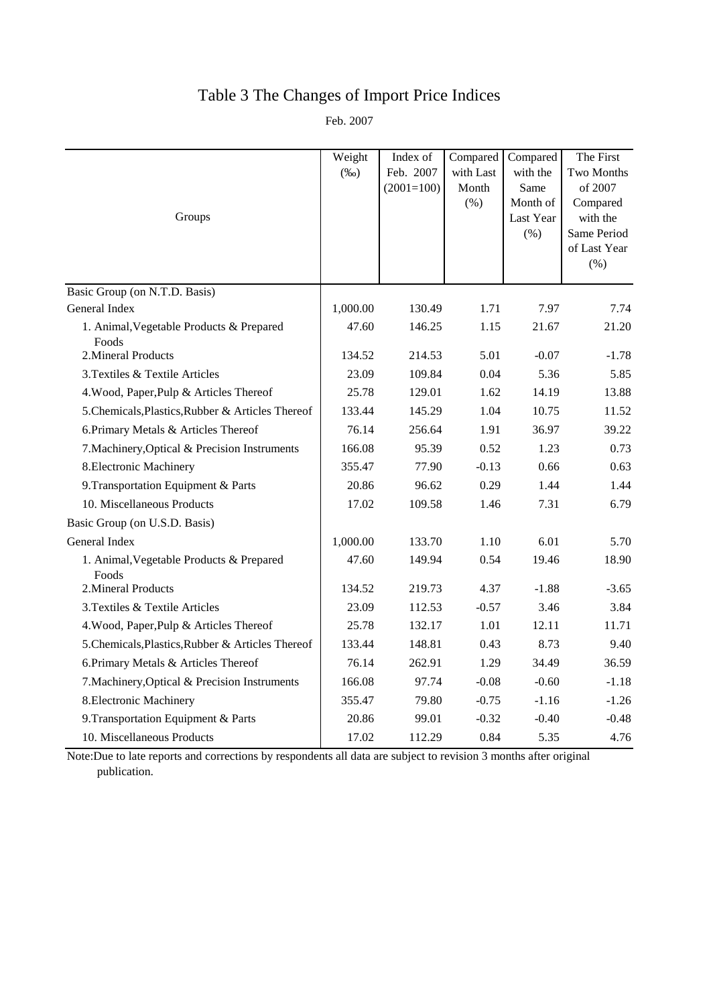# Table 3 The Changes of Import Price Indices

Feb. 2007

|                                                   | Weight   | Index of     | Compared  | Compared              | The First            |
|---------------------------------------------------|----------|--------------|-----------|-----------------------|----------------------|
|                                                   | $(\%0)$  | Feb. 2007    | with Last | with the              | Two Months           |
|                                                   |          | $(2001=100)$ | Month     | Same                  | of 2007              |
| Groups                                            |          |              | (% )      | Month of<br>Last Year | Compared<br>with the |
|                                                   |          |              |           | $(\% )$               | Same Period          |
|                                                   |          |              |           |                       | of Last Year         |
|                                                   |          |              |           |                       | (% )                 |
| Basic Group (on N.T.D. Basis)                     |          |              |           |                       |                      |
| General Index                                     | 1,000.00 | 130.49       | 1.71      | 7.97                  | 7.74                 |
| 1. Animal, Vegetable Products & Prepared<br>Foods | 47.60    | 146.25       | 1.15      | 21.67                 | 21.20                |
| 2. Mineral Products                               | 134.52   | 214.53       | 5.01      | $-0.07$               | $-1.78$              |
| 3. Textiles & Textile Articles                    | 23.09    | 109.84       | 0.04      | 5.36                  | 5.85                 |
| 4. Wood, Paper, Pulp & Articles Thereof           | 25.78    | 129.01       | 1.62      | 14.19                 | 13.88                |
| 5. Chemicals, Plastics, Rubber & Articles Thereof | 133.44   | 145.29       | 1.04      | 10.75                 | 11.52                |
| 6. Primary Metals & Articles Thereof              | 76.14    | 256.64       | 1.91      | 36.97                 | 39.22                |
| 7. Machinery, Optical & Precision Instruments     | 166.08   | 95.39        | 0.52      | 1.23                  | 0.73                 |
| 8. Electronic Machinery                           | 355.47   | 77.90        | $-0.13$   | 0.66                  | 0.63                 |
| 9. Transportation Equipment & Parts               | 20.86    | 96.62        | 0.29      | 1.44                  | 1.44                 |
| 10. Miscellaneous Products                        | 17.02    | 109.58       | 1.46      | 7.31                  | 6.79                 |
| Basic Group (on U.S.D. Basis)                     |          |              |           |                       |                      |
| General Index                                     | 1,000.00 | 133.70       | 1.10      | 6.01                  | 5.70                 |
| 1. Animal, Vegetable Products & Prepared<br>Foods | 47.60    | 149.94       | 0.54      | 19.46                 | 18.90                |
| 2. Mineral Products                               | 134.52   | 219.73       | 4.37      | $-1.88$               | $-3.65$              |
| 3. Textiles & Textile Articles                    | 23.09    | 112.53       | $-0.57$   | 3.46                  | 3.84                 |
| 4. Wood, Paper, Pulp & Articles Thereof           | 25.78    | 132.17       | 1.01      | 12.11                 | 11.71                |
| 5. Chemicals, Plastics, Rubber & Articles Thereof | 133.44   | 148.81       | 0.43      | 8.73                  | 9.40                 |
| 6. Primary Metals & Articles Thereof              | 76.14    | 262.91       | 1.29      | 34.49                 | 36.59                |
| 7. Machinery, Optical & Precision Instruments     | 166.08   | 97.74        | $-0.08$   | $-0.60$               | $-1.18$              |
| 8. Electronic Machinery                           | 355.47   | 79.80        | $-0.75$   | $-1.16$               | $-1.26$              |
| 9. Transportation Equipment & Parts               | 20.86    | 99.01        | $-0.32$   | $-0.40$               | $-0.48$              |
| 10. Miscellaneous Products                        | 17.02    | 112.29       | 0.84      | 5.35                  | 4.76                 |

Note:Due to late reports and corrections by respondents all data are subject to revision 3 months after original publication.